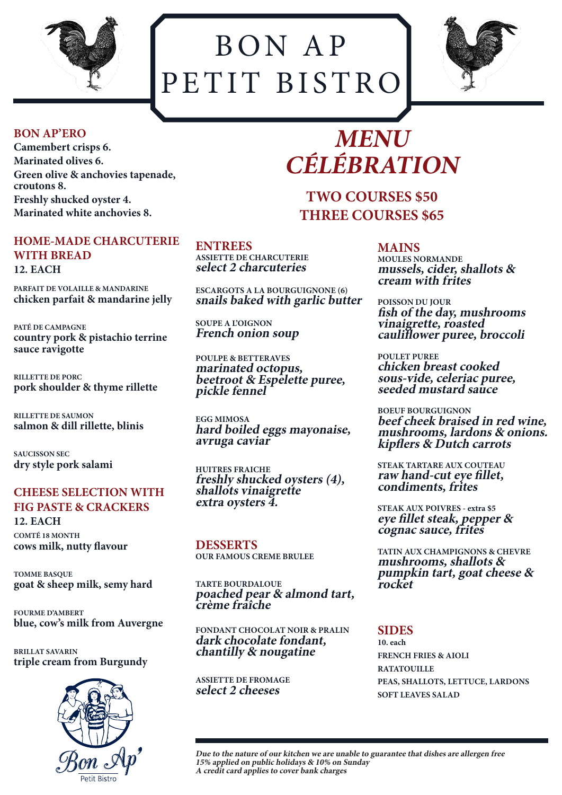

BON AP PETIT BISTRO



#### **BON AP'ERO**

**Camembert crisps 6. Marinated olives 6. Green olive & anchovies tapenade, croutons 8. Freshly shucked oyster 4. Marinated white anchovies 8.** 

#### **HOME-MADE CHARCUTERIE WITH BREAD 12. EACH**

**PARFAIT DE VOLAILLE & MANDARINE chicken parfait & mandarine jelly**

**PATÉ DE CAMPAGNE country pork & pistachio terrine sauce ravigotte**

**RILLETTE DE PORC pork shoulder & thyme rillette**

**RILLETTE DE SAUMON salmon & dill rillette, blinis**

**SAUCISSON SEC dry style pork salami**

# **CHEESE SELECTION WITH FIG PASTE & CRACKERS**

**12. EACH COMTÉ 18 MONTH cows milk, nutty flavour**

**TOMME BASQUE goat & sheep milk, semy hard**

**FOURME D'AMBERT blue, cow's milk from Auvergne**

**BRILLAT SAVARIN triple cream from Burgundy**



#### **ENTREES**

**ASSIETTE DE CHARCUTERIE select 2 charcuteries**

**ESCARGOTS A LA BOURGUIGNONE (6) snails baked with garlic butter**

**SOUPE A L'OIGNON French onion soup**

**POULPE & BETTERAVES marinated octopus, beetroot & Espelette puree, pickle fennel**

**EGG MIMOSA hard boiled eggs mayonaise, avruga caviar**

**HUITRES FRAICHE freshly shucked oysters (4), shallots vinaigrette extra oysters 4.**

**DESSERTS OUR FAMOUS CREME BRULEE**

**TARTE BOURDALOUE poached pear & almond tart, crème fraîche**

**FONDANT CHOCOLAT NOIR & PRALIN dark chocolate fondant, chantilly & nougatine**

**ASSIETTE DE FROMAGE select 2 cheeses**

# **MENU CÉLÉBRATION**

**TWO COURSES \$50 THREE COURSES \$65**

> **MAINS MOULES NORMANDE mussels, cider, shallots & cream with frites**

**POISSON DU JOUR fish of the day, mushrooms vinaigrette, roasted cauliflower puree, broccoli**

**POULET PUREE chicken breast cooked sous-vide, celeriac puree, seeded mustard sauce**

**BOEUF BOURGUIGNON beef cheek braised in red wine, mushrooms, lardons & onions. kipflers & Dutch carrots**

**STEAK TARTARE AUX COUTEAU raw hand-cut eye fillet, condiments, frites**

**STEAK AUX POIVRES - extra \$5 eye fillet steak, pepper & cognac sauce, frites**

**TATIN AUX CHAMPIGNONS & CHEVRE mushrooms, shallots & pumpkin tart, goat cheese & rocket**

**SIDES 10. each FRENCH FRIES & AIOLI RATATOUILLE PEAS, SHALLOTS, LETTUCE, LARDONS SOFT LEAVES SALAD**

**Due to the nature of our kitchen we are unable to guarantee that dishes are allergen free 15% applied on public holidays & 10% on Sunday A credit card applies to cover bank charges**